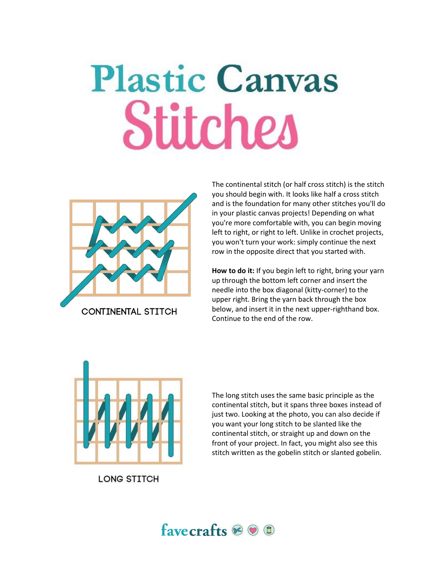## **Plastic Canvas** Stitches



you should begin with. It looks like half a cross stitch and is the foundation for many other stitches you'll do in your plastic canvas projects! Depending on what you're more comfortable with, you can begin moving left to right, or right to left. Unlike in crochet projects, you won't turn your work: simply continue the next row in the opposite direct that you started with.

The continental stitch (or half cross stitch) is the stitch

**How to do it:** If you begin left to right, bring your yarn up through the bottom left corner and insert the needle into the box diagonal (kitty-corner) to the upper right. Bring the yarn back through the box below, and insert it in the next upper-righthand box. Continue to the end of the row.



**LONG STITCH** 

The long stitch uses the same basic principle as the continental stitch, but it spans three boxes instead of just two. Looking at the photo, you can also decide if you want your long stitch to be slanted like the continental stitch, or straight up and down on the front of your project. In fact, you might also see this stitch written as the gobelin stitch or slanted gobelin.

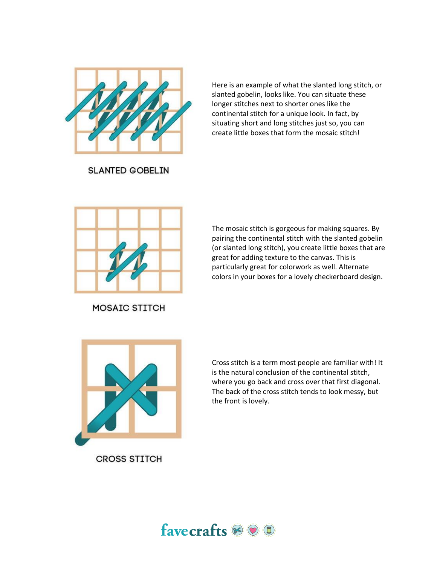

Here is an example of what the slanted long stitch, or slanted gobelin, looks like. You can situate these longer stitches next to shorter ones like the continental stitch for a unique look. In fact, by situating short and long stitches just so, you can create little boxes that form the mosaic stitch!

**SLANTED GOBELIN** 



**MOSAIC STITCH** 

The mosaic stitch is gorgeous for making squares. By pairing the continental stitch with the slanted gobelin (or slanted long stitch), you create little boxes that are great for adding texture to the canvas. This is particularly great for colorwork as well. Alternate colors in your boxes for a lovely checkerboard design.



Cross stitch is a term most people are familiar with! It is the natural conclusion of the continental stitch, where you go back and cross over that first diagonal. The back of the cross stitch tends to look messy, but the front is lovely.

**CROSS STITCH**